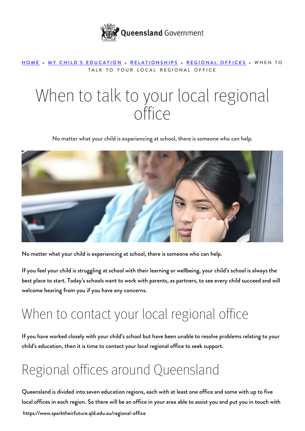

#### [HOME](https://www.sparktheirfuture.qld.edu.au/) » [MY CHILD'S EDUCATION](https://www.sparktheirfuture.qld.edu.au/category/my-childs-school/) » [RELATIONSHIPS](https://www.sparktheirfuture.qld.edu.au/category/my-childs-school/relationships/) » [REGIONAL OFFICES](https://www.sparktheirfuture.qld.edu.au/category/my-childs-school/relationships/regional-offices/) » WHEN TO TALK TO YOUR LOCAL REGIONAL OFFICE

# When to talk to your local regional office

No matter what your child is experiencing at school, there is someone who can help.



No matter what your child is experiencing at school, there is someone who can help.

If you feel your child is struggling at school with their learning or wellbeing, your child's school is always the best place to start. Today's schools want to [work with parents](https://www.sparktheirfuture.qld.edu.au/understanding-schools/), as partners, to see every child succeed and will welcome [hearing from you](https://www.sparktheirfuture.qld.edu.au/what-to-do-when-contacting-your-childs-school/) if you have any concerns.

#### When to contact your local regional office

If you have worked closely with your child's school but have been unable to resolve problems relating to your child's education, then it is time to contact your local [regional office](https://education.qld.gov.au/contact-us/state-schools-regional-contacts) to seek support.

### Regional offices around Queensland

https://www.sparktheirfuture.qld.edu.au/regional-office Queensland is divided into seven education regions, each with at least one office and some with up to five local offices in each region. So there will be an office in your area able to assist you and put you in touch with